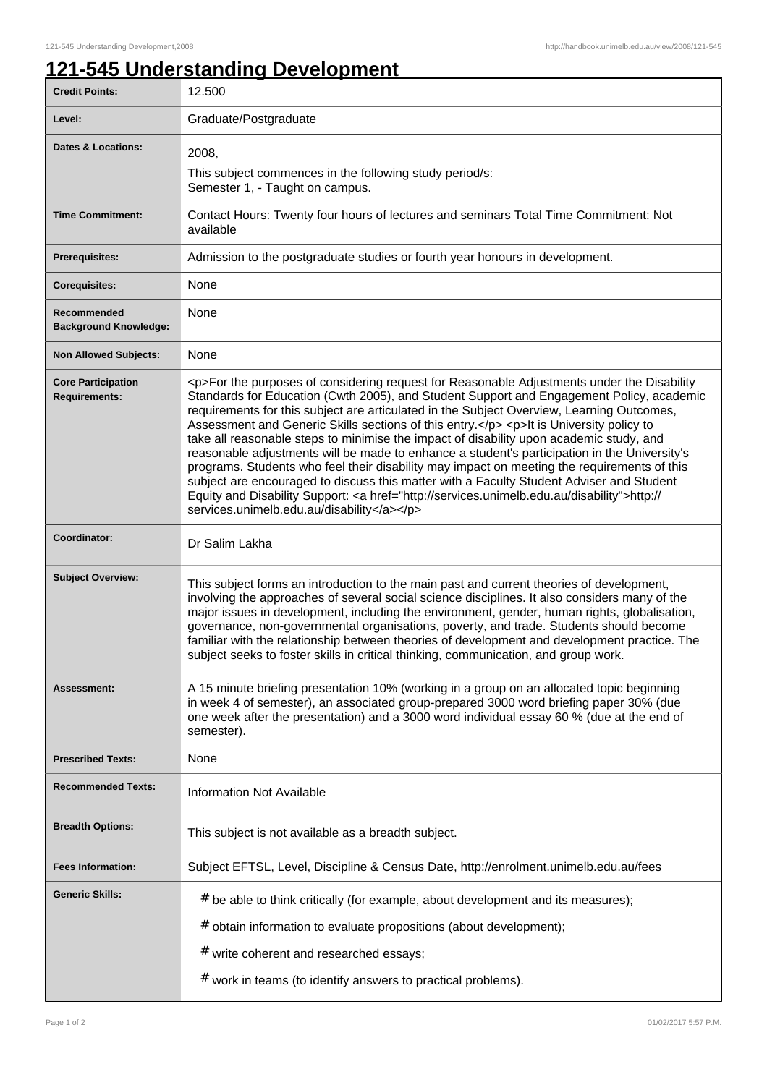## **121-545 Understanding Development**

| <b>Credit Points:</b>                             | 12.500                                                                                                                                                                                                                                                                                                                                                                                                                                                                                                                                                                                                                                                                                                                                                                                                                                                                                                                    |
|---------------------------------------------------|---------------------------------------------------------------------------------------------------------------------------------------------------------------------------------------------------------------------------------------------------------------------------------------------------------------------------------------------------------------------------------------------------------------------------------------------------------------------------------------------------------------------------------------------------------------------------------------------------------------------------------------------------------------------------------------------------------------------------------------------------------------------------------------------------------------------------------------------------------------------------------------------------------------------------|
| Level:                                            | Graduate/Postgraduate                                                                                                                                                                                                                                                                                                                                                                                                                                                                                                                                                                                                                                                                                                                                                                                                                                                                                                     |
| <b>Dates &amp; Locations:</b>                     | 2008,                                                                                                                                                                                                                                                                                                                                                                                                                                                                                                                                                                                                                                                                                                                                                                                                                                                                                                                     |
|                                                   | This subject commences in the following study period/s:<br>Semester 1, - Taught on campus.                                                                                                                                                                                                                                                                                                                                                                                                                                                                                                                                                                                                                                                                                                                                                                                                                                |
| <b>Time Commitment:</b>                           | Contact Hours: Twenty four hours of lectures and seminars Total Time Commitment: Not<br>available                                                                                                                                                                                                                                                                                                                                                                                                                                                                                                                                                                                                                                                                                                                                                                                                                         |
| <b>Prerequisites:</b>                             | Admission to the postgraduate studies or fourth year honours in development.                                                                                                                                                                                                                                                                                                                                                                                                                                                                                                                                                                                                                                                                                                                                                                                                                                              |
| <b>Corequisites:</b>                              | None                                                                                                                                                                                                                                                                                                                                                                                                                                                                                                                                                                                                                                                                                                                                                                                                                                                                                                                      |
| Recommended<br><b>Background Knowledge:</b>       | None                                                                                                                                                                                                                                                                                                                                                                                                                                                                                                                                                                                                                                                                                                                                                                                                                                                                                                                      |
| <b>Non Allowed Subjects:</b>                      | None                                                                                                                                                                                                                                                                                                                                                                                                                                                                                                                                                                                                                                                                                                                                                                                                                                                                                                                      |
| <b>Core Participation</b><br><b>Requirements:</b> | <p>For the purposes of considering request for Reasonable Adjustments under the Disability<br/>Standards for Education (Cwth 2005), and Student Support and Engagement Policy, academic<br/>requirements for this subject are articulated in the Subject Overview, Learning Outcomes,<br/>Assessment and Generic Skills sections of this entry.</p> <p>lt is University policy to<br/>take all reasonable steps to minimise the impact of disability upon academic study, and<br/>reasonable adjustments will be made to enhance a student's participation in the University's<br/>programs. Students who feel their disability may impact on meeting the requirements of this<br/>subject are encouraged to discuss this matter with a Faculty Student Adviser and Student<br/>Equity and Disability Support: <a href="http://services.unimelb.edu.au/disability">http://<br/>services.unimelb.edu.au/disability</a></p> |
| Coordinator:                                      | Dr Salim Lakha                                                                                                                                                                                                                                                                                                                                                                                                                                                                                                                                                                                                                                                                                                                                                                                                                                                                                                            |
| <b>Subject Overview:</b>                          | This subject forms an introduction to the main past and current theories of development,<br>involving the approaches of several social science disciplines. It also considers many of the<br>major issues in development, including the environment, gender, human rights, globalisation,<br>governance, non-governmental organisations, poverty, and trade. Students should become<br>familiar with the relationship between theories of development and development practice. The<br>subject seeks to foster skills in critical thinking, communication, and group work.                                                                                                                                                                                                                                                                                                                                                |
| <b>Assessment:</b>                                | A 15 minute briefing presentation 10% (working in a group on an allocated topic beginning<br>in week 4 of semester), an associated group-prepared 3000 word briefing paper 30% (due<br>one week after the presentation) and a 3000 word individual essay 60 % (due at the end of<br>semester).                                                                                                                                                                                                                                                                                                                                                                                                                                                                                                                                                                                                                            |
| <b>Prescribed Texts:</b>                          | None                                                                                                                                                                                                                                                                                                                                                                                                                                                                                                                                                                                                                                                                                                                                                                                                                                                                                                                      |
| <b>Recommended Texts:</b>                         | Information Not Available                                                                                                                                                                                                                                                                                                                                                                                                                                                                                                                                                                                                                                                                                                                                                                                                                                                                                                 |
| <b>Breadth Options:</b>                           | This subject is not available as a breadth subject.                                                                                                                                                                                                                                                                                                                                                                                                                                                                                                                                                                                                                                                                                                                                                                                                                                                                       |
| <b>Fees Information:</b>                          | Subject EFTSL, Level, Discipline & Census Date, http://enrolment.unimelb.edu.au/fees                                                                                                                                                                                                                                                                                                                                                                                                                                                                                                                                                                                                                                                                                                                                                                                                                                      |
| <b>Generic Skills:</b>                            | $#$ be able to think critically (for example, about development and its measures);                                                                                                                                                                                                                                                                                                                                                                                                                                                                                                                                                                                                                                                                                                                                                                                                                                        |
|                                                   | # obtain information to evaluate propositions (about development);                                                                                                                                                                                                                                                                                                                                                                                                                                                                                                                                                                                                                                                                                                                                                                                                                                                        |
|                                                   | # write coherent and researched essays;                                                                                                                                                                                                                                                                                                                                                                                                                                                                                                                                                                                                                                                                                                                                                                                                                                                                                   |
|                                                   | $#$ work in teams (to identify answers to practical problems).                                                                                                                                                                                                                                                                                                                                                                                                                                                                                                                                                                                                                                                                                                                                                                                                                                                            |